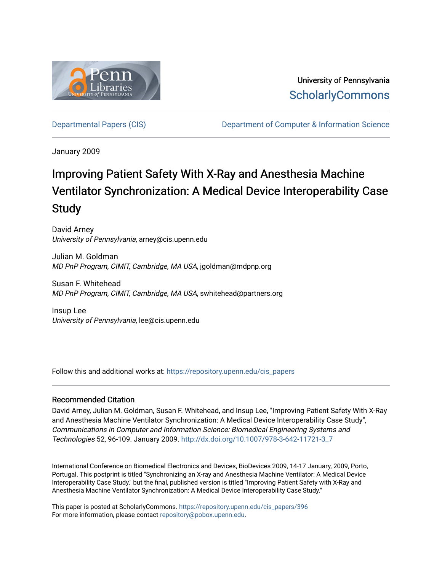

University of Pennsylvania **ScholarlyCommons** 

[Departmental Papers \(CIS\)](https://repository.upenn.edu/cis_papers) [Department of Computer & Information Science](https://repository.upenn.edu/cis) 

January 2009

# Improving Patient Safety With X-Ray and Anesthesia Machine Ventilator Synchronization: A Medical Device Interoperability Case Study

David Arney University of Pennsylvania, arney@cis.upenn.edu

Julian M. Goldman MD PnP Program, CIMIT, Cambridge, MA USA, jgoldman@mdpnp.org

Susan F. Whitehead MD PnP Program, CIMIT, Cambridge, MA USA, swhitehead@partners.org

Insup Lee University of Pennsylvania, lee@cis.upenn.edu

Follow this and additional works at: [https://repository.upenn.edu/cis\\_papers](https://repository.upenn.edu/cis_papers?utm_source=repository.upenn.edu%2Fcis_papers%2F396&utm_medium=PDF&utm_campaign=PDFCoverPages)

## Recommended Citation

David Arney, Julian M. Goldman, Susan F. Whitehead, and Insup Lee, "Improving Patient Safety With X-Ray and Anesthesia Machine Ventilator Synchronization: A Medical Device Interoperability Case Study", Communications in Computer and Information Science: Biomedical Engineering Systems and Technologies 52, 96-109. January 2009. [http://dx.doi.org/10.1007/978-3-642-11721-3\\_7](http://dx.doi.org/10.1007/978-3-642-11721-3_7)

International Conference on Biomedical Electronics and Devices, BioDevices 2009, 14-17 January, 2009, Porto, Portugal. This postprint is titled "Synchronizing an X-ray and Anesthesia Machine Ventilator: A Medical Device Interoperability Case Study," but the final, published version is titled "Improving Patient Safety with X-Ray and Anesthesia Machine Ventilator Synchronization: A Medical Device Interoperability Case Study."

This paper is posted at ScholarlyCommons. [https://repository.upenn.edu/cis\\_papers/396](https://repository.upenn.edu/cis_papers/396)  For more information, please contact [repository@pobox.upenn.edu.](mailto:repository@pobox.upenn.edu)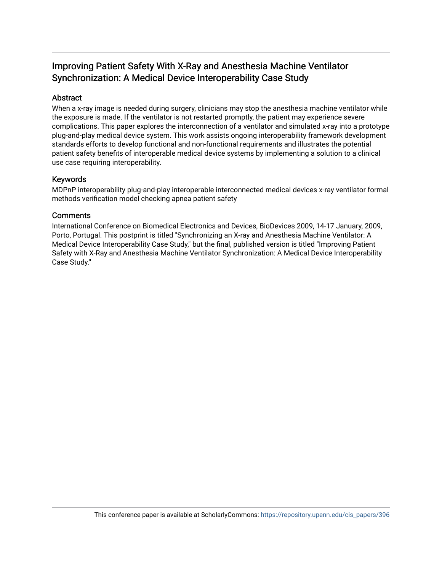## Improving Patient Safety With X-Ray and Anesthesia Machine Ventilator Synchronization: A Medical Device Interoperability Case Study

## Abstract

When a x-ray image is needed during surgery, clinicians may stop the anesthesia machine ventilator while the exposure is made. If the ventilator is not restarted promptly, the patient may experience severe complications. This paper explores the interconnection of a ventilator and simulated x-ray into a prototype plug-and-play medical device system. This work assists ongoing interoperability framework development standards efforts to develop functional and non-functional requirements and illustrates the potential patient safety benefits of interoperable medical device systems by implementing a solution to a clinical use case requiring interoperability.

## Keywords

MDPnP interoperability plug-and-play interoperable interconnected medical devices x-ray ventilator formal methods verification model checking apnea patient safety

## **Comments**

International Conference on Biomedical Electronics and Devices, BioDevices 2009, 14-17 January, 2009, Porto, Portugal. This postprint is titled "Synchronizing an X-ray and Anesthesia Machine Ventilator: A Medical Device Interoperability Case Study," but the final, published version is titled "Improving Patient Safety with X-Ray and Anesthesia Machine Ventilator Synchronization: A Medical Device Interoperability Case Study."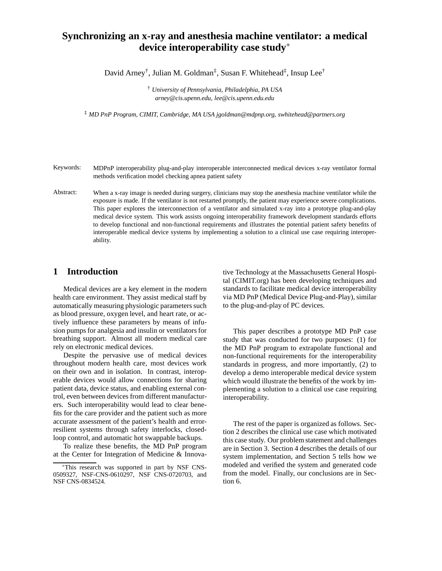## **Synchronizing an x-ray and anesthesia machine ventilator: a medical device interoperability case study**<sup>∗</sup>

David Arney<sup>†</sup>, Julian M. Goldman<sup>‡</sup>, Susan F. Whitehead<sup>‡</sup>, Insup Lee<sup>†</sup>

† *University of Pennsylvania, Philadelphia, PA USA arney@cis.upenn.edu, lee@cis.upenn.edu.edu*

‡ *MD PnP Program, CIMIT, Cambridge, MA USA jgoldman@mdpnp.org, swhitehead@partners.org*

- Keywords: MDPnP interoperability plug-and-play interoperable interconnected medical devices x-ray ventilator formal methods verification model checking apnea patient safety
- Abstract: When a x-ray image is needed during surgery, clinicians may stop the anesthesia machine ventilator while the exposure is made. If the ventilator is not restarted promptly, the patient may experience severe complications. This paper explores the interconnection of a ventilator and simulated x-ray into a prototype plug-and-play medical device system. This work assists ongoing interoperability framework development standards efforts to develop functional and non-functional requirements and illustrates the potential patient safety benefits of interoperable medical device systems by implementing a solution to a clinical use case requiring interoperability.

### **1 Introduction**

Medical devices are a key element in the modern health care environment. They assist medical staff by automatically measuring physiologic parameters such as blood pressure, oxygen level, and heart rate, or actively influence these parameters by means of infusion pumps for analgesia and insulin or ventilators for breathing support. Almost all modern medical care rely on electronic medical devices.

Despite the pervasive use of medical devices throughout modern health care, most devices work on their own and in isolation. In contrast, interoperable devices would allow connections for sharing patient data, device status, and enabling external control, even between devices from different manufacturers. Such interoperability would lead to clear benefits for the care provider and the patient such as more accurate assessment of the patient's health and errorresilient systems through safety interlocks, closedloop control, and automatic hot swappable backups.

To realize these benefits, the MD PnP program at the Center for Integration of Medicine & Innovative Technology at the Massachusetts General Hospital (CIMIT.org) has been developing techniques and standards to facilitate medical device interoperability via MD PnP (Medical Device Plug-and-Play), similar to the plug-and-play of PC devices.

This paper describes a prototype MD PnP case study that was conducted for two purposes: (1) for the MD PnP program to extrapolate functional and non-functional requirements for the interoperability standards in progress, and more importantly, (2) to develop a demo interoperable medical device system which would illustrate the benefits of the work by implementing a solution to a clinical use case requiring interoperability.

The rest of the paper is organized as follows. Section 2 describes the clinical use case which motivated this case study. Our problem statement and challenges are in Section 3. Section 4 describes the details of our system implementation, and Section 5 tells how we modeled and verified the system and generated code from the model. Finally, our conclusions are in Section 6.

<sup>∗</sup>This research was supported in part by NSF CNS-0509327, NSF-CNS-0610297, NSF CNS-0720703, and NSF CNS-0834524.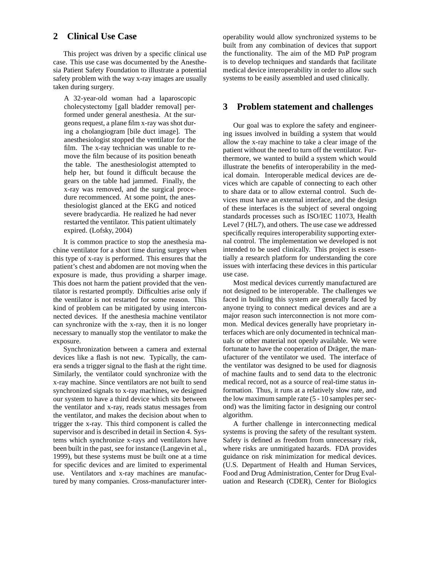## **2 Clinical Use Case**

This project was driven by a specific clinical use case. This use case was documented by the Anesthesia Patient Safety Foundation to illustrate a potential safety problem with the way x-ray images are usually taken during surgery.

A 32-year-old woman had a laparoscopic cholecystectomy [gall bladder removal] performed under general anesthesia. At the surgeons request, a plane film x-ray was shot during a cholangiogram [bile duct image]. The anesthesiologist stopped the ventilator for the film. The x-ray technician was unable to remove the film because of its position beneath the table. The anesthesiologist attempted to help her, but found it difficult because the gears on the table had jammed. Finally, the x-ray was removed, and the surgical procedure recommenced. At some point, the anesthesiologist glanced at the EKG and noticed severe bradycardia. He realized he had never restarted the ventilator. This patient ultimately expired. (Lofsky, 2004)

It is common practice to stop the anesthesia machine ventilator for a short time during surgery when this type of x-ray is performed. This ensures that the patient's chest and abdomen are not moving when the exposure is made, thus providing a sharper image. This does not harm the patient provided that the ventilator is restarted promptly. Difficulties arise only if the ventilator is not restarted for some reason. This kind of problem can be mitigated by using interconnected devices. If the anesthesia machine ventilator can synchronize with the x-ray, then it is no longer necessary to manually stop the ventilator to make the exposure.

Synchronization between a camera and external devices like a flash is not new. Typically, the camera sends a trigger signal to the flash at the right time. Similarly, the ventilator could synchronize with the x-ray machine. Since ventilators are not built to send synchronized signals to x-ray machines, we designed our system to have a third device which sits between the ventilator and x-ray, reads status messages from the ventilator, and makes the decision about when to trigger the x-ray. This third component is called the supervisor and is described in detail in Section 4. Systems which synchronize x-rays and ventilators have been built in the past, see for instance (Langevin et al., 1999), but these systems must be built one at a time for specific devices and are limited to experimental use. Ventilators and x-ray machines are manufactured by many companies. Cross-manufacturer interoperability would allow synchronized systems to be built from any combination of devices that support the functionality. The aim of the MD PnP program is to develop techniques and standards that facilitate medical device interoperability in order to allow such systems to be easily assembled and used clinically.

### **3 Problem statement and challenges**

Our goal was to explore the safety and engineering issues involved in building a system that would allow the x-ray machine to take a clear image of the patient without the need to turn off the ventilator. Furthermore, we wanted to build a system which would illustrate the benefits of interoperability in the medical domain. Interoperable medical devices are devices which are capable of connecting to each other to share data or to allow external control. Such devices must have an external interface, and the design of these interfaces is the subject of several ongoing standards processes such as ISO/IEC 11073, Health Level 7 (HL7), and others. The use case we addressed specifically requires interoperability supporting external control. The implementation we developed is not intended to be used clinically. This project is essentially a research platform for understanding the core issues with interfacing these devices in this particular use case.

Most medical devices currently manufactured are not designed to be interoperable. The challenges we faced in building this system are generally faced by anyone trying to connect medical devices and are a major reason such interconnection is not more common. Medical devices generally have proprietary interfaces which are only documented in technical manuals or other material not openly available. We were fortunate to have the cooperation of Dräger, the manufacturer of the ventilator we used. The interface of the ventilator was designed to be used for diagnosis of machine faults and to send data to the electronic medical record, not as a source of real-time status information. Thus, it runs at a relatively slow rate, and the low maximum sample rate (5 - 10 samples per second) was the limiting factor in designing our control algorithm.

A further challenge in interconnecting medical systems is proving the safety of the resultant system. Safety is defined as freedom from unnecessary risk, where risks are unmitigated hazards. FDA provides guidance on risk minimization for medical devices. (U.S. Department of Health and Human Services, Food and Drug Administration, Center for Drug Evaluation and Research (CDER), Center for Biologics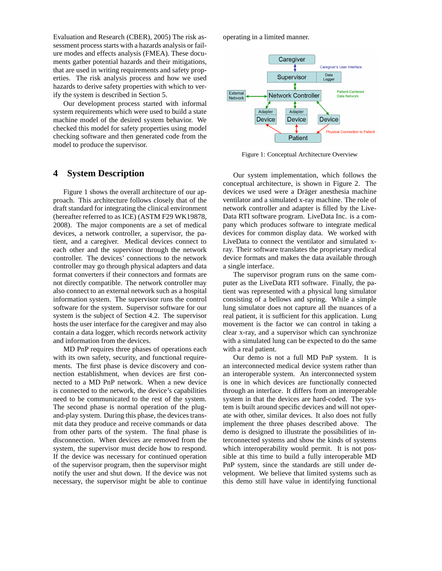Evaluation and Research (CBER), 2005) The risk assessment process starts with a hazards analysis or failure modes and effects analysis (FMEA). These documents gather potential hazards and their mitigations, that are used in writing requirements and safety properties. The risk analysis process and how we used hazards to derive safety properties with which to verify the system is described in Section 5.

Our development process started with informal system requirements which were used to build a state machine model of the desired system behavior. We checked this model for safety properties using model checking software and then generated code from the model to produce the supervisor.

#### **4 System Description**

Figure 1 shows the overall architecture of our approach. This architecture follows closely that of the draft standard for integrating the clinical environment (hereafter referred to as ICE) (ASTM F29 WK19878, 2008). The major components are a set of medical devices, a network controller, a supervisor, the patient, and a caregiver. Medical devices connect to each other and the supervisor through the network controller. The devices' connections to the network controller may go through physical adapters and data format converters if their connectors and formats are not directly compatible. The network controller may also connect to an external network such as a hospital information system. The supervisor runs the control software for the system. Supervisor software for our system is the subject of Section 4.2. The supervisor hosts the user interface for the caregiver and may also contain a data logger, which records network activity and information from the devices.

MD PnP requires three phases of operations each with its own safety, security, and functional requirements. The first phase is device discovery and connection establishment, when devices are first connected to a MD PnP network. When a new device is connected to the network, the device's capabilities need to be communicated to the rest of the system. The second phase is normal operation of the plugand-play system. During this phase, the devices transmit data they produce and receive commands or data from other parts of the system. The final phase is disconnection. When devices are removed from the system, the supervisor must decide how to respond. If the device was necessary for continued operation of the supervisor program, then the supervisor might notify the user and shut down. If the device was not necessary, the supervisor might be able to continue operating in a limited manner.



Figure 1: Conceptual Architecture Overview

Our system implementation, which follows the conceptual architecture, is shown in Figure 2. The devices we used were a Dräger anesthesia machine ventilator and a simulated x-ray machine. The role of network controller and adapter is filled by the Live-Data RTI software program. LiveData Inc. is a company which produces software to integrate medical devices for common display data. We worked with LiveData to connect the ventilator and simulated xray. Their software translates the proprietary medical device formats and makes the data available through a single interface.

The supervisor program runs on the same computer as the LiveData RTI software. Finally, the patient was represented with a physical lung simulator consisting of a bellows and spring. While a simple lung simulator does not capture all the nuances of a real patient, it is sufficient for this application. Lung movement is the factor we can control in taking a clear x-ray, and a supervisor which can synchronize with a simulated lung can be expected to do the same with a real patient.

Our demo is not a full MD PnP system. It is an interconnected medical device system rather than an interoperable system. An interconnected system is one in which devices are functionally connected through an interface. It differs from an interoperable system in that the devices are hard-coded. The system is built around specific devices and will not operate with other, similar devices. It also does not fully implement the three phases described above. The demo is designed to illustrate the possibilities of interconnected systems and show the kinds of systems which interoperability would permit. It is not possible at this time to build a fully interoperable MD PnP system, since the standards are still under development. We believe that limited systems such as this demo still have value in identifying functional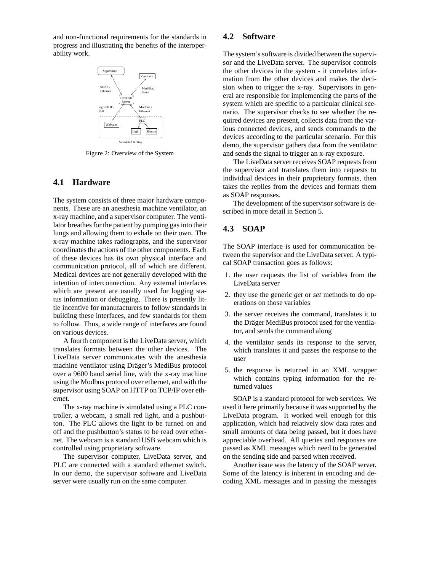and non-functional requirements for the standards in progress and illustrating the benefits of the interoperability work.



Figure 2: Overview of the System

#### **4.1 Hardware**

The system consists of three major hardware components. These are an anesthesia machine ventilator, an x-ray machine, and a supervisor computer. The ventilator breathes for the patient by pumping gas into their lungs and allowing them to exhale on their own. The x-ray machine takes radiographs, and the supervisor coordinates the actions of the other components. Each of these devices has its own physical interface and communication protocol, all of which are different. Medical devices are not generally developed with the intention of interconnection. Any external interfaces which are present are usually used for logging status information or debugging. There is presently little incentive for manufacturers to follow standards in building these interfaces, and few standards for them to follow. Thus, a wide range of interfaces are found on various devices.

A fourth component is the LiveData server, which translates formats between the other devices. The LiveData server communicates with the anesthesia machine ventilator using Dräger's MediBus protocol over a 9600 baud serial line, with the x-ray machine using the Modbus protocol over ethernet, and with the supervisor using SOAP on HTTP on TCP/IP over ethernet.

The x-ray machine is simulated using a PLC controller, a webcam, a small red light, and a pushbutton. The PLC allows the light to be turned on and off and the pushbutton's status to be read over ethernet. The webcam is a standard USB webcam which is controlled using proprietary software.

The supervisor computer, LiveData server, and PLC are connected with a standard ethernet switch. In our demo, the supervisor software and LiveData server were usually run on the same computer.

#### **4.2 Software**

The system's software is divided between the supervisor and the LiveData server. The supervisor controls the other devices in the system - it correlates information from the other devices and makes the decision when to trigger the x-ray. Supervisors in general are responsible for implementing the parts of the system which are specific to a particular clinical scenario. The supervisor checks to see whether the required devices are present, collects data from the various connected devices, and sends commands to the devices according to the particular scenario. For this demo, the supervisor gathers data from the ventilator and sends the signal to trigger an x-ray exposure.

The LiveData server receives SOAP requests from the supervisor and translates them into requests to individual devices in their proprietary formats, then takes the replies from the devices and formats them as SOAP responses.

The development of the supervisor software is described in more detail in Section 5.

#### **4.3 SOAP**

The SOAP interface is used for communication between the supervisor and the LiveData server. A typical SOAP transaction goes as follows:

- 1. the user requests the list of variables from the LiveData server
- 2. they use the generic *get* or *set* methods to do operations on those variables
- 3. the server receives the command, translates it to the Dräger MediBus protocol used for the ventilator, and sends the command along
- 4. the ventilator sends its response to the server, which translates it and passes the response to the user
- 5. the response is returned in an XML wrapper which contains typing information for the returned values

SOAP is a standard protocol for web services. We used it here primarily because it was supported by the LiveData program. It worked well enough for this application, which had relatively slow data rates and small amounts of data being passed, but it does have appreciable overhead. All queries and responses are passed as XML messages which need to be generated on the sending side and parsed when received.

Another issue was the latency of the SOAP server. Some of the latency is inherent in encoding and decoding XML messages and in passing the messages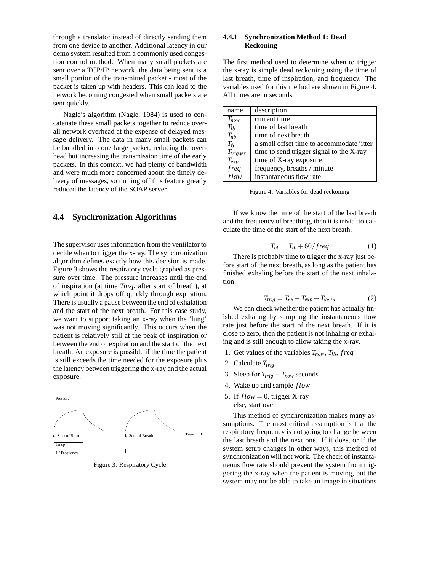through a translator instead of directly sending them from one device to another. Additional latency in our demo system resulted from a commonly used congestion control method. When many small packets are sent over a TCP/IP network, the data being sent is a small portion of the transmitted packet - most of the packet is taken up with headers. This can lead to the network becoming congested when small packets are sent quickly.

Nagle's algorithm (Nagle, 1984) is used to concatenate these small packets together to reduce overall network overhead at the expense of delayed message delivery. The data in many small packets can be bundled into one large packet, reducing the overhead but increasing the transmission time of the early packets. In this context, we had plenty of bandwidth and were much more concerned about the timely delivery of messages, so turning off this feature greatly reduced the latency of the SOAP server.

#### **4.4 Synchronization Algorithms**

The supervisor uses information from the ventilator to decide when to trigger the x-ray. The synchronization algorithm defines exactly how this decision is made. Figure 3 shows the respiratory cycle graphed as pressure over time. The pressure increases until the end of inspiration (at time *Tinsp* after start of breath), at which point it drops off quickly through expiration. There is usually a pause between the end of exhalation and the start of the next breath. For this case study, we want to support taking an x-ray when the 'lung' was not moving significantly. This occurs when the patient is relatively still at the peak of inspiration or between the end of expiration and the start of the next breath. An exposure is possible if the time the patient is still exceeds the time needed for the exposure plus the latency between triggering the x-ray and the actual exposure.



Figure 3: Respiratory Cycle

#### **4.4.1 Synchronization Method 1: Dead Reckoning**

The first method used to determine when to trigger the x-ray is simple dead reckoning using the time of last breath, time of inspiration, and frequency. The variables used for this method are shown in Figure 4. All times are in seconds.

| name          | description                               |
|---------------|-------------------------------------------|
| $T_{now}$     | current time                              |
| $T_{lb}$      | time of last breath                       |
| $T_{nb}$      | time of next breath                       |
| $T_{\delta}$  | a small offset time to accommodate jitter |
| $T_{trigger}$ | time to send trigger signal to the X-ray  |
| $T_{exp}$     | time of X-ray exposure                    |
| freq          | frequency, breaths / minute               |
|               | instantaneous flow rate                   |

Figure 4: Variables for dead reckoning

If we know the time of the start of the last breath and the frequency of breathing, then it is trivial to calculate the time of the start of the next breath.

$$
T_{nb} = T_{lb} + 60/freq
$$
 (1)

There is probably time to trigger the x-ray just before start of the next breath, as long as the patient has finished exhaling before the start of the next inhalation.

$$
T_{trig} = T_{nb} - T_{exp} - T_{delta} \tag{2}
$$

We can check whether the patient has actually finished exhaling by sampling the instantaneous flow rate just before the start of the next breath. If it is close to zero, then the patient is not inhaling or exhaling and is still enough to allow taking the x-ray.

- 1. Get values of the variables  $T_{now}$ ,  $T_{lb}$ , freq
- 2. Calculate *Ttrig*
- 3. Sleep for  $T_{trig} T_{now}$  seconds
- 4. Wake up and sample *f low*
- 5. If  $flow = 0$ , trigger X-ray else, start over

This method of synchronization makes many assumptions. The most critical assumption is that the respiratory frequency is not going to change between the last breath and the next one. If it does, or if the system setup changes in other ways, this method of synchronization will not work. The check of instantaneous flow rate should prevent the system from triggering the x-ray when the patient is moving, but the system may not be able to take an image in situations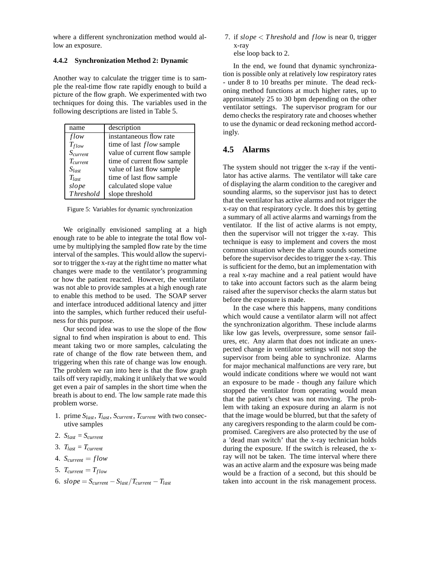where a different synchronization method would allow an exposure.

#### **4.4.2 Synchronization Method 2: Dynamic**

Another way to calculate the trigger time is to sample the real-time flow rate rapidly enough to build a picture of the flow graph. We experimented with two techniques for doing this. The variables used in the following descriptions are listed in Table 5.

| name          | description                     |
|---------------|---------------------------------|
| flow          | instantaneous flow rate         |
| $T_{flow}$    | time of last <i>flow</i> sample |
| $S_{current}$ | value of current flow sample    |
| $T_{current}$ | time of current flow sample     |
| $S_{last}$    | value of last flow sample       |
| $T_{last}$    | time of last flow sample        |
| slope         | calculated slope value          |
| Threshold     | slope threshold                 |
|               |                                 |

Figure 5: Variables for dynamic synchronization

We originally envisioned sampling at a high enough rate to be able to integrate the total flow volume by multiplying the sampled flow rate by the time interval of the samples. This would allow the supervisor to trigger the x-ray at the right time no matter what changes were made to the ventilator's programming or how the patient reacted. However, the ventilator was not able to provide samples at a high enough rate to enable this method to be used. The SOAP server and interface introduced additional latency and jitter into the samples, which further reduced their usefulness for this purpose.

Our second idea was to use the slope of the flow signal to find when inspiration is about to end. This meant taking two or more samples, calculating the rate of change of the flow rate between them, and triggering when this rate of change was low enough. The problem we ran into here is that the flow graph tails off very rapidly, making it unlikely that we would get even a pair of samples in the short time when the breath is about to end. The low sample rate made this problem worse.

- 1. prime *Slast*, *Tlast*, *Scurrent*, *Tcurrent* with two consecutive samples
- 2.  $S_{last} = S_{current}$
- 3.  $T_{last} = T_{current}$
- 4.  $S_{current} = flow$
- 5.  $T_{current} = T_{flow}$
- 6. *slope* =  $S_{current} S_{last}/T_{current} T_{last}$

7. if *slope* < *T hreshold* and *f low* is near 0, trigger x-ray

else loop back to 2.

In the end, we found that dynamic synchronization is possible only at relatively low respiratory rates - under 8 to 10 breaths per minute. The dead reckoning method functions at much higher rates, up to approximately 25 to 30 bpm depending on the other ventilator settings. The supervisor program for our demo checks the respiratory rate and chooses whether to use the dynamic or dead reckoning method accordingly.

#### **4.5 Alarms**

The system should not trigger the x-ray if the ventilator has active alarms. The ventilator will take care of displaying the alarm condition to the caregiver and sounding alarms, so the supervisor just has to detect that the ventilator has active alarms and not trigger the x-ray on that respiratory cycle. It does this by getting a summary of all active alarms and warnings from the ventilator. If the list of active alarms is not empty, then the supervisor will not trigger the x-ray. This technique is easy to implement and covers the most common situation where the alarm sounds sometime before the supervisor decides to trigger the x-ray. This is sufficient for the demo, but an implementation with a real x-ray machine and a real patient would have to take into account factors such as the alarm being raised after the supervisor checks the alarm status but before the exposure is made.

In the case where this happens, many conditions which would cause a ventilator alarm will not affect the synchronization algorithm. These include alarms like low gas levels, overpressure, some sensor failures, etc. Any alarm that does not indicate an unexpected change in ventilator settings will not stop the supervisor from being able to synchronize. Alarms for major mechanical malfunctions are very rare, but would indicate conditions where we would not want an exposure to be made - though any failure which stopped the ventilator from operating would mean that the patient's chest was not moving. The problem with taking an exposure during an alarm is not that the image would be blurred, but that the safety of any caregivers responding to the alarm could be compromised. Caregivers are also protected by the use of a 'dead man switch' that the x-ray technician holds during the exposure. If the switch is released, the xray will not be taken. The time interval where there was an active alarm and the exposure was being made would be a fraction of a second, but this should be taken into account in the risk management process.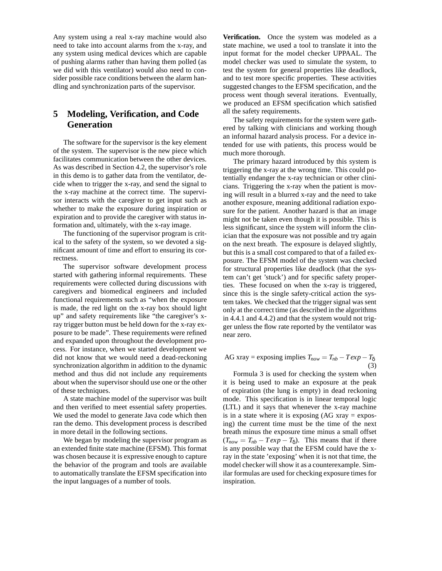Any system using a real x-ray machine would also need to take into account alarms from the x-ray, and any system using medical devices which are capable of pushing alarms rather than having them polled (as we did with this ventilator) would also need to consider possible race conditions between the alarm handling and synchronization parts of the supervisor.

## **5 Modeling, Verification, and Code Generation**

The software for the supervisor is the key element of the system. The supervisor is the new piece which facilitates communication between the other devices. As was described in Section 4.2, the supervisor's role in this demo is to gather data from the ventilator, decide when to trigger the x-ray, and send the signal to the x-ray machine at the correct time. The supervisor interacts with the caregiver to get input such as whether to make the exposure during inspiration or expiration and to provide the caregiver with status information and, ultimately, with the x-ray image.

The functioning of the supervisor program is critical to the safety of the system, so we devoted a significant amount of time and effort to ensuring its correctness.

The supervisor software development process started with gathering informal requirements. These requirements were collected during discussions with caregivers and biomedical engineers and included functional requirements such as "when the exposure is made, the red light on the x-ray box should light up" and safety requirements like "the caregiver's xray trigger button must be held down for the x-ray exposure to be made". These requirements were refined and expanded upon throughout the development process. For instance, when we started development we did not know that we would need a dead-reckoning synchronization algorithm in addition to the dynamic method and thus did not include any requirements about when the supervisor should use one or the other of these techniques.

A state machine model of the supervisor was built and then verified to meet essential safety properties. We used the model to generate Java code which then ran the demo. This development process is described in more detail in the following sections.

We began by modeling the supervisor program as an extended finite state machine (EFSM). This format was chosen because it is expressive enough to capture the behavior of the program and tools are available to automatically translate the EFSM specification into the input languages of a number of tools.

**Verification.** Once the system was modeled as a state machine, we used a tool to translate it into the input format for the model checker UPPAAL. The model checker was used to simulate the system, to test the system for general properties like deadlock, and to test more specific properties. These activities suggested changes to the EFSM specification, and the process went though several iterations. Eventually, we produced an EFSM specification which satisfied all the safety requirements.

The safety requirements for the system were gathered by talking with clinicians and working though an informal hazard analysis process. For a device intended for use with patients, this process would be much more thorough.

The primary hazard introduced by this system is triggering the x-ray at the wrong time. This could potentially endanger the x-ray technician or other clinicians. Triggering the x-ray when the patient is moving will result in a blurred x-ray and the need to take another exposure, meaning additional radiation exposure for the patient. Another hazard is that an image might not be taken even though it is possible. This is less significant, since the system will inform the clinician that the exposure was not possible and try again on the next breath. The exposure is delayed slightly, but this is a small cost compared to that of a failed exposure. The EFSM model of the system was checked for structural properties like deadlock (that the system can't get 'stuck') and for specific safety properties. These focused on when the x-ray is triggered, since this is the single safety-critical action the system takes. We checked that the trigger signal was sent only at the correct time (as described in the algorithms in 4.4.1 and 4.4.2) and that the system would not trigger unless the flow rate reported by the ventilator was near zero.

AG xray = exposing implies  $T_{now} = T_{nb} - Texp - T_{\delta}$ (3)

Formula 3 is used for checking the system when it is being used to make an exposure at the peak of expiration (the lung is empty) in dead reckoning mode. This specification is in linear temporal logic (LTL) and it says that whenever the x-ray machine is in a state where it is exposing  $(AG xray = expos$ ing) the current time must be the time of the next breath minus the exposure time minus a small offset  $(T_{now} = T_{nb} - T_{exp} - T_{\delta})$ . This means that if there is any possible way that the EFSM could have the xray in the state 'exposing' when it is not that time, the model checker will show it as a counterexample. Similar formulas are used for checking exposure times for inspiration.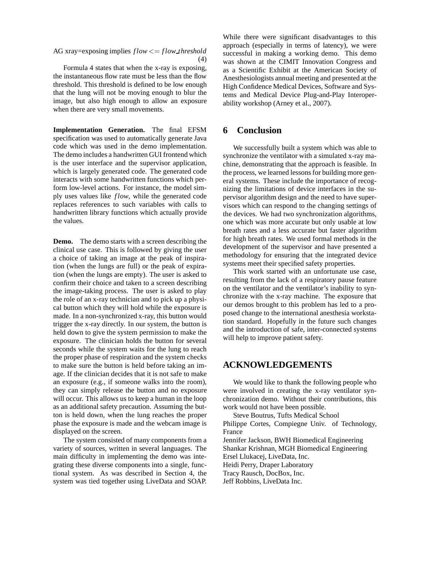AG xray=exposing implies *f low* <= *f low threshold*  $(4)$ 

Formula 4 states that when the x-ray is exposing, the instantaneous flow rate must be less than the flow threshold. This threshold is defined to be low enough that the lung will not be moving enough to blur the image, but also high enough to allow an exposure when there are very small movements.

**Implementation Generation.** The final EFSM specification was used to automatically generate Java code which was used in the demo implementation. The demo includes a handwritten GUI frontend which is the user interface and the supervisor application, which is largely generated code. The generated code interacts with some handwritten functions which perform low-level actions. For instance, the model simply uses values like *f low*, while the generated code replaces references to such variables with calls to handwritten library functions which actually provide the values.

**Demo.** The demo starts with a screen describing the clinical use case. This is followed by giving the user a choice of taking an image at the peak of inspiration (when the lungs are full) or the peak of expiration (when the lungs are empty). The user is asked to confirm their choice and taken to a screen describing the image-taking process. The user is asked to play the role of an x-ray technician and to pick up a physical button which they will hold while the exposure is made. In a non-synchronized x-ray, this button would trigger the x-ray directly. In our system, the button is held down to give the system permission to make the exposure. The clinician holds the button for several seconds while the system waits for the lung to reach the proper phase of respiration and the system checks to make sure the button is held before taking an image. If the clinician decides that it is not safe to make an exposure (e.g., if someone walks into the room), they can simply release the button and no exposure will occur. This allows us to keep a human in the loop as an additional safety precaution. Assuming the button is held down, when the lung reaches the proper phase the exposure is made and the webcam image is displayed on the screen.

The system consisted of many components from a variety of sources, written in several languages. The main difficulty in implementing the demo was integrating these diverse components into a single, functional system. As was described in Section 4, the system was tied together using LiveData and SOAP.

While there were significant disadvantages to this approach (especially in terms of latency), we were successful in making a working demo. This demo was shown at the CIMIT Innovation Congress and as a Scientific Exhibit at the American Society of Anesthesiologists annual meeting and presented at the High Confidence Medical Devices, Software and Systems and Medical Device Plug-and-Play Interoperability workshop (Arney et al., 2007).

## **6 Conclusion**

We successfully built a system which was able to synchronize the ventilator with a simulated x-ray machine, demonstrating that the approach is feasible. In the process, we learned lessons for building more general systems. These include the importance of recognizing the limitations of device interfaces in the supervisor algorithm design and the need to have supervisors which can respond to the changing settings of the devices. We had two synchronization algorithms, one which was more accurate but only usable at low breath rates and a less accurate but faster algorithm for high breath rates. We used formal methods in the development of the supervisor and have presented a methodology for ensuring that the integrated device systems meet their specified safety properties.

This work started with an unfortunate use case, resulting from the lack of a respiratory pause feature on the ventilator and the ventilator's inability to synchronize with the x-ray machine. The exposure that our demos brought to this problem has led to a proposed change to the international anesthesia workstation standard. Hopefully in the future such changes and the introduction of safe, inter-connected systems will help to improve patient safety.

## **ACKNOWLEDGEMENTS**

We would like to thank the following people who were involved in creating the x-ray ventilator synchronization demo. Without their contributions, this work would not have been possible.

Steve Boutrus, Tufts Medical School Philippe Cortes, Compiegne Univ. of Technology,

France Jennifer Jackson, BWH Biomedical Engineering

Shankar Krishnan, MGH Biomedical Engineering Ersel Llukacej, LiveData, Inc.

Heidi Perry, Draper Laboratory

Tracy Rausch, DocBox, Inc.

Jeff Robbins, LiveData Inc.